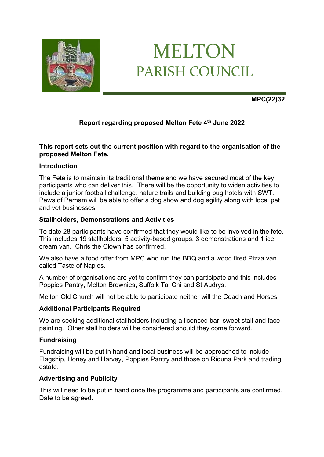

# MELTON PARISH COUNCIL

**MPC(22)32**

# **Report regarding proposed Melton Fete 4th June 2022**

### **This report sets out the current position with regard to the organisation of the proposed Melton Fete.**

# **Introduction**

The Fete is to maintain its traditional theme and we have secured most of the key participants who can deliver this. There will be the opportunity to widen activities to include a junior football challenge, nature trails and building bug hotels with SWT. Paws of Parham will be able to offer a dog show and dog agility along with local pet and vet businesses.

#### **Stallholders, Demonstrations and Activities**

To date 28 participants have confirmed that they would like to be involved in the fete. This includes 19 stallholders, 5 activity-based groups, 3 demonstrations and 1 ice cream van. Chris the Clown has confirmed.

We also have a food offer from MPC who run the BBQ and a wood fired Pizza van called Taste of Naples.

A number of organisations are yet to confirm they can participate and this includes Poppies Pantry, Melton Brownies, Suffolk Tai Chi and St Audrys.

Melton Old Church will not be able to participate neither will the Coach and Horses

#### **Additional Participants Required**

We are seeking additional stallholders including a licenced bar, sweet stall and face painting. Other stall holders will be considered should they come forward.

#### **Fundraising**

Fundraising will be put in hand and local business will be approached to include Flagship, Honey and Harvey, Poppies Pantry and those on Riduna Park and trading estate.

#### **Advertising and Publicity**

This will need to be put in hand once the programme and participants are confirmed. Date to be agreed.